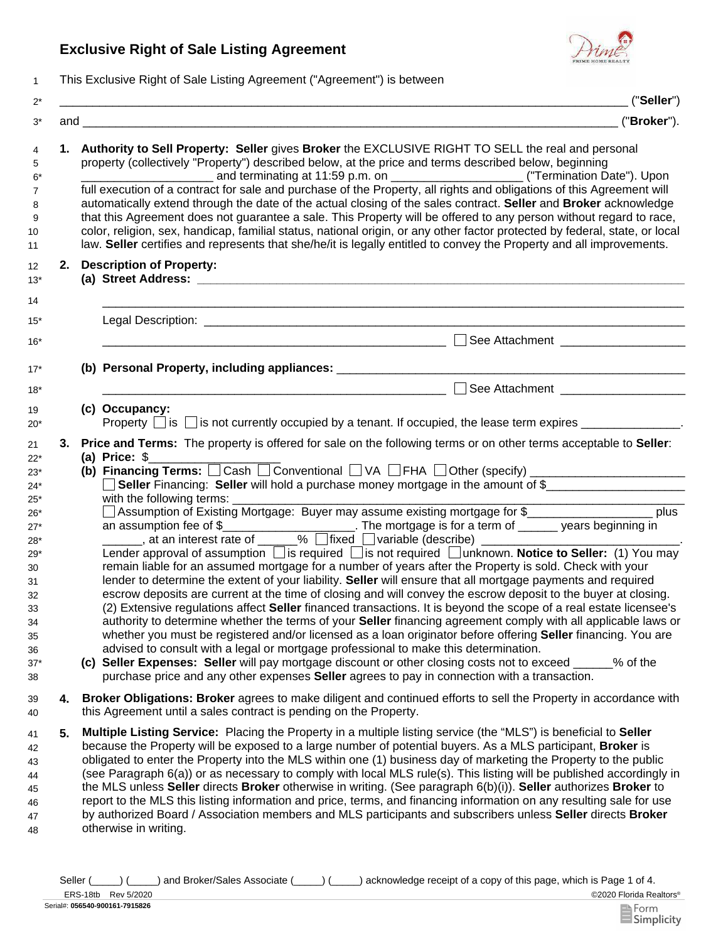## **Exclusive Right of Sale Listing Agreement**



1 This Exclusive Right of Sale Listing Agreement ("Agreement") is between

|    | ("Seller")                                                                                                                                                                                                                                                                                                                                                                                                                                                                                                                                                                                                                                                                                                                                                                                                                                                                                                                                                                                                                                                                                                                                                                                                                                                                                                                                                                                                                                                                                                                                                                                                                             |  |  |
|----|----------------------------------------------------------------------------------------------------------------------------------------------------------------------------------------------------------------------------------------------------------------------------------------------------------------------------------------------------------------------------------------------------------------------------------------------------------------------------------------------------------------------------------------------------------------------------------------------------------------------------------------------------------------------------------------------------------------------------------------------------------------------------------------------------------------------------------------------------------------------------------------------------------------------------------------------------------------------------------------------------------------------------------------------------------------------------------------------------------------------------------------------------------------------------------------------------------------------------------------------------------------------------------------------------------------------------------------------------------------------------------------------------------------------------------------------------------------------------------------------------------------------------------------------------------------------------------------------------------------------------------------|--|--|
|    | ("Broker").                                                                                                                                                                                                                                                                                                                                                                                                                                                                                                                                                                                                                                                                                                                                                                                                                                                                                                                                                                                                                                                                                                                                                                                                                                                                                                                                                                                                                                                                                                                                                                                                                            |  |  |
|    | 1. Authority to Sell Property: Seller gives Broker the EXCLUSIVE RIGHT TO SELL the real and personal<br>property (collectively "Property") described below, at the price and terms described below, beginning<br>full execution of a contract for sale and purchase of the Property, all rights and obligations of this Agreement will<br>automatically extend through the date of the actual closing of the sales contract. Seller and Broker acknowledge<br>that this Agreement does not guarantee a sale. This Property will be offered to any person without regard to race,<br>color, religion, sex, handicap, familial status, national origin, or any other factor protected by federal, state, or local<br>law. Seller certifies and represents that she/he/it is legally entitled to convey the Property and all improvements.                                                                                                                                                                                                                                                                                                                                                                                                                                                                                                                                                                                                                                                                                                                                                                                                |  |  |
|    | 2. Description of Property:                                                                                                                                                                                                                                                                                                                                                                                                                                                                                                                                                                                                                                                                                                                                                                                                                                                                                                                                                                                                                                                                                                                                                                                                                                                                                                                                                                                                                                                                                                                                                                                                            |  |  |
|    |                                                                                                                                                                                                                                                                                                                                                                                                                                                                                                                                                                                                                                                                                                                                                                                                                                                                                                                                                                                                                                                                                                                                                                                                                                                                                                                                                                                                                                                                                                                                                                                                                                        |  |  |
|    | $\Box$<br>See Attachment _____________________                                                                                                                                                                                                                                                                                                                                                                                                                                                                                                                                                                                                                                                                                                                                                                                                                                                                                                                                                                                                                                                                                                                                                                                                                                                                                                                                                                                                                                                                                                                                                                                         |  |  |
|    |                                                                                                                                                                                                                                                                                                                                                                                                                                                                                                                                                                                                                                                                                                                                                                                                                                                                                                                                                                                                                                                                                                                                                                                                                                                                                                                                                                                                                                                                                                                                                                                                                                        |  |  |
|    | See Attachment ____________________<br><u> 1980 - Jan James James Barnett, fransk politik (d. 1980)</u>                                                                                                                                                                                                                                                                                                                                                                                                                                                                                                                                                                                                                                                                                                                                                                                                                                                                                                                                                                                                                                                                                                                                                                                                                                                                                                                                                                                                                                                                                                                                |  |  |
|    | (c) Occupancy:<br>Property $\Box$ is $\Box$ is not currently occupied by a tenant. If occupied, the lease term expires $\Box$                                                                                                                                                                                                                                                                                                                                                                                                                                                                                                                                                                                                                                                                                                                                                                                                                                                                                                                                                                                                                                                                                                                                                                                                                                                                                                                                                                                                                                                                                                          |  |  |
| 3. | Price and Terms: The property is offered for sale on the following terms or on other terms acceptable to Seller:<br>(a) Price: $$$<br>(b) Financing Terms: $\Box$ Cash $\Box$ Conventional $\Box$ VA $\Box$ FHA $\Box$ Other (specify) $\Box$ $\Box$ $\Box$ $\Box$ $\Box$ $\Box$<br>Seller Financing: Seller will hold a purchase money mortgage in the amount of \$<br>□ Assumption of Existing Mortgage: Buyer may assume existing mortgage for \$______________________ plus<br>Lender approval of assumption <i>is</i> required <i>i</i> s not required <i>i</i> unknown. Notice to Seller: (1) You may<br>remain liable for an assumed mortgage for a number of years after the Property is sold. Check with your<br>lender to determine the extent of your liability. Seller will ensure that all mortgage payments and required<br>escrow deposits are current at the time of closing and will convey the escrow deposit to the buyer at closing.<br>(2) Extensive regulations affect Seller financed transactions. It is beyond the scope of a real estate licensee's<br>authority to determine whether the terms of your Seller financing agreement comply with all applicable laws or<br>whether you must be registered and/or licensed as a loan originator before offering <b>Seller</b> financing. You are<br>advised to consult with a legal or mortgage professional to make this determination.<br>(c) Seller Expenses: Seller will pay mortgage discount or other closing costs not to exceed ____<br>% of the<br>purchase price and any other expenses <b>Seller</b> agrees to pay in connection with a transaction. |  |  |
| 4. | Broker Obligations: Broker agrees to make diligent and continued efforts to sell the Property in accordance with<br>this Agreement until a sales contract is pending on the Property.                                                                                                                                                                                                                                                                                                                                                                                                                                                                                                                                                                                                                                                                                                                                                                                                                                                                                                                                                                                                                                                                                                                                                                                                                                                                                                                                                                                                                                                  |  |  |
| 5. | Multiple Listing Service: Placing the Property in a multiple listing service (the "MLS") is beneficial to Seller<br>because the Property will be exposed to a large number of potential buyers. As a MLS participant, <b>Broker</b> is<br>obligated to enter the Property into the MLS within one (1) business day of marketing the Property to the public<br>(see Paragraph 6(a)) or as necessary to comply with local MLS rule(s). This listing will be published accordingly in<br>the MLS unless Seller directs Broker otherwise in writing. (See paragraph 6(b)(i)). Seller authorizes Broker to<br>report to the MLS this listing information and price, terms, and financing information on any resulting sale for use<br>by authorized Board / Association members and MLS participants and subscribers unless Seller directs Broker<br>otherwise in writing.                                                                                                                                                                                                                                                                                                                                                                                                                                                                                                                                                                                                                                                                                                                                                                  |  |  |

Seller (\_\_\_\_) (\_\_\_\_) and Broker/Sales Associate (\_\_\_\_) (\_\_\_\_) acknowledge receipt of a copy of this page, which is Page 1 of 4.

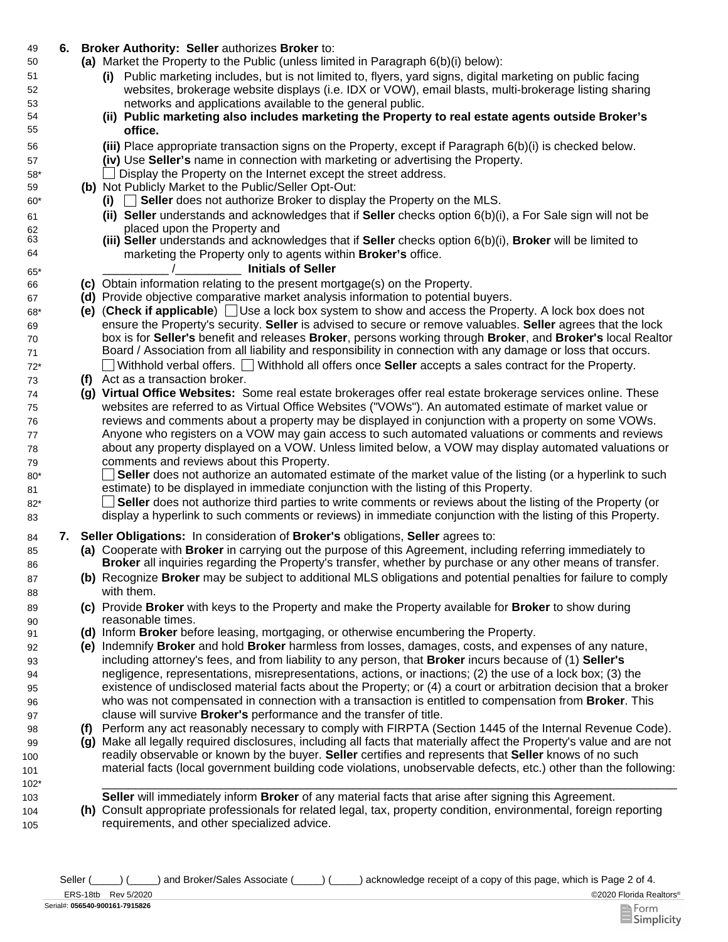## 49 **6. Broker Authority: Seller** authorizes **Broker** to:

- Market the Property to the Public (unless limited in Paragraph 6(b)(i) below): **(a)**
	- **(i)** Public marketing includes, but is not limited to, flyers, yard signs, digital marketing on public facing websites, brokerage website displays (i.e. IDX or VOW), email blasts, multi-brokerage listing sharing networks and applications available to the general public.
	- **(ii) Public marketing also includes marketing the Property to real estate agents outside Broker's office.**
	- Place appropriate transaction signs on the Property, except if Paragraph 6(b)(i) is checked below. **(iii)**
	- **(iv)** Use **Seller's** name in connection with marketing or advertising the Property.
	- \_\_ Display the Property on the Internet except the street address.
- **(b)** Not Publicly Market to the Public/Seller Opt-Out:
	- **(i)** \_\_ **Seller** does not authorize Broker to display the Property on the MLS.
	- **(ii) Seller** understands and acknowledges that if **Seller** checks option 6(b)(i), a For Sale sign will not be placed upon the Property and
	- **(iii) Seller** understands and acknowledges that if **Seller** checks option 6(b)(i), **Broker** will be limited to marketing the Property only to agents within **Broker's** office.

## \_\_\_\_\_\_\_\_\_\_ /\_\_\_\_\_\_\_\_\_\_ **Initials of Seller**

- 66 **(c)** Obtain information relating to the present mortgage(s) on the Property.
- 67 **(d)** Provide objective comparative market analysis information to potential buyers.
- 68\* **(e)** (**Check if applicable**) Use a lock box system to show and access the Property. A lock box does not ensure the Property's security. **Seller** is advised to secure or remove valuables. **Seller** agrees that the lock box is for **Seller's** benefit and releases **Broker**, persons working through **Broker**, and **Broker's** local Realtor Board / Association from all liability and responsibility in connection with any damage or loss that occurs. 72\* Withhold verbal offers. Withhold all offers once **Seller** accepts a sales contract for the Property.
- 73 **(f)** Act as a transaction broker.

69 70 71

50

51 52 53

80\* 81

85 86

87 88

89 90

99 100 101

104 105

- 74 **(g) Virtual Office Websites:** Some real estate brokerages offer real estate brokerage services online. These websites are referred to as Virtual Office Websites ("VOWs"). An automated estimate of market value or reviews and comments about a property may be displayed in conjunction with a property on some VOWs. Anyone who registers on a VOW may gain access to such automated valuations or comments and reviews about any property displayed on a VOW. Unless limited below, a VOW may display automated valuations or comments and reviews about this Property.
	- $\mathbf{L}$ **Seller** does not authorize an automated estimate of the market value of the listing (or a hyperlink to such estimate) to be displayed in immediate conjunction with the listing of this Property.
- **Seller** does not authorize third parties to write comments or reviews about the listing of the Property (or display a hyperlink to such comments or reviews) in immediate conjunction with the listing of this Property. 82\* 83
- 84 **7. Seller Obligations:** In consideration of **Broker's** obligations, **Seller** agrees to:
	- **(a)** Cooperate with **Broker** in carrying out the purpose of this Agreement, including referring immediately to **Broker** all inquiries regarding the Property's transfer, whether by purchase or any other means of transfer.
	- **(b)** Recognize **Broker** may be subject to additional MLS obligations and potential penalties for failure to comply with them.
	- **(c)** Provide **Broker** with keys to the Property and make the Property available for **Broker** to show during reasonable times.
- 91 **(d)** Inform **Broker** before leasing, mortgaging, or otherwise encumbering the Property.
	- **(e)** Indemnify **Broker** and hold **Broker** harmless from losses, damages, costs, and expenses of any nature, including attorney's fees, and from liability to any person, that **Broker** incurs because of (1) **Seller's**  negligence, representations, misrepresentations, actions, or inactions; (2) the use of a lock box; (3) the existence of undisclosed material facts about the Property; or (4) a court or arbitration decision that a broker who was not compensated in connection with a transaction is entitled to compensation from **Broker**. This clause will survive **Broker's** performance and the transfer of title.
- 98 **(f)** Perform any act reasonably necessary to comply with FIRPTA (Section 1445 of the Internal Revenue Code).
	- **(g)** Make all legally required disclosures, including all facts that materially affect the Property's value and are not readily observable or known by the buyer. **Seller** certifies and represents that **Seller** knows of no such material facts (local government building code violations, unobservable defects, etc.) other than the following:
- 102\* \_\_\_\_\_\_\_\_\_\_\_\_\_\_\_\_\_\_\_\_\_\_\_\_\_\_\_\_\_\_\_\_\_\_\_\_\_\_\_\_\_\_\_\_\_\_\_\_\_\_\_\_\_\_\_\_\_\_\_\_\_\_\_\_\_\_\_\_\_\_\_\_\_\_\_\_\_\_\_\_\_\_\_\_\_\_\_ 103 **Seller** will immediately inform **Broker** of any material facts that arise after signing this Agreement.
	- **(h)** Consult appropriate professionals for related legal, tax, property condition, environmental, foreign reporting requirements, and other specialized advice.

Seller (  $\Box$ ) (
and Broker/Sales Associate (  $\Box$ ) acknowledge receipt of a copy of this page, which is Page 2 of 4.

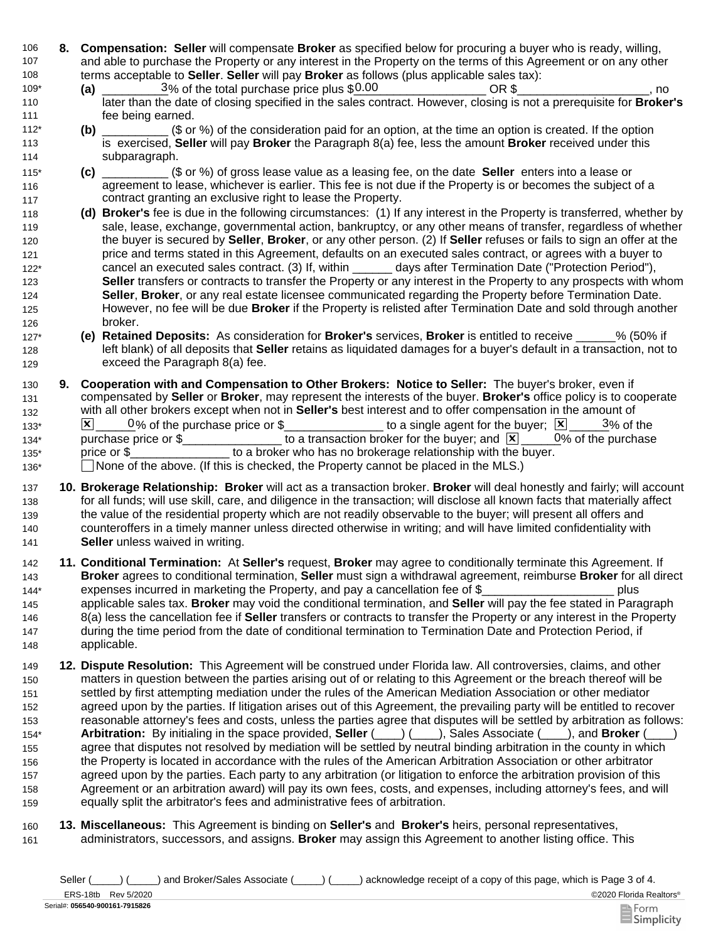- 106 **8. Compensation: Seller** will compensate **Broker** as specified below for procuring a buyer who is ready, willing, 107 108 and able to purchase the Property or any interest in the Property on the terms of this Agreement or on any other terms acceptable to **Seller**. **Seller** will pay **Broker** as follows (plus applicable sales tax):
- $\frac{3}{6}$  of the total purchase price plus  $$0.00$   $OR $$  \_\_\_\_\_\_\_\_\_\_\_\_\_\_\_, no later than the date of closing specified in the sales contract. However, closing is not a prerequisite for **Broker's** fee being earned. 109\* **(a)**  110 111
- **(b)** \_\_\_\_\_\_\_\_\_\_ (\$ or %) of the consideration paid for an option, at the time an option is created. If the option is exercised, **Seller** will pay **Broker** the Paragraph 8(a) fee, less the amount **Broker** received under this subparagraph. 112\* 113 114
- **(c)** \_\_\_\_\_\_\_\_\_\_ (\$ or %) of gross lease value as a leasing fee, on the date **Seller** enters into a lease or agreement to lease, whichever is earlier. This fee is not due if the Property is or becomes the subject of a contract granting an exclusive right to lease the Property. 115\* 116 117
- 118 **(d) Broker's** fee is due in the following circumstances: (1) If any interest in the Property is transferred, whether by 119 120 121 122\* 123 124 125 126 sale, lease, exchange, governmental action, bankruptcy, or any other means of transfer, regardless of whether the buyer is secured by **Seller**, **Broker**, or any other person. (2) If **Seller** refuses or fails to sign an offer at the price and terms stated in this Agreement, defaults on an executed sales contract, or agrees with a buyer to cancel an executed sales contract. (3) If, within \_\_\_\_\_\_ days after Termination Date ("Protection Period"), **Seller** transfers or contracts to transfer the Property or any interest in the Property to any prospects with whom **Seller**, **Broker**, or any real estate licensee communicated regarding the Property before Termination Date. However, no fee will be due **Broker** if the Property is relisted after Termination Date and sold through another broker.
- 127\* **(e) Retained Deposits:** As consideration for **Broker's** services, **Broker** is entitled to receive \_\_\_\_\_\_% (50% if 128 129 left blank) of all deposits that **Seller** retains as liquidated damages for a buyer's default in a transaction, not to exceed the Paragraph 8(a) fee.
- 130 **9.**  131 132  $133^*$   $\times$   $\boxed{\times}$   $0\%$  of the purchase price or \$\_\_\_\_\_\_\_\_\_\_\_\_\_\_\_\_\_ to a single agent for the buyer;  $\boxed{\times}$   $\boxed{\phantom{\times}}$   $3\%$  of the 134\* purchase price or \$\_\_\_\_\_\_\_\_\_\_\_\_\_\_\_\_\_ to a transaction broker for the buyer; and  $\boxed{\mathbf{X}}$  \_\_\_\_\_0% of the purchase 135\* price or \$\_\_\_\_\_\_\_\_\_\_\_\_\_\_\_\_\_ to a broker who has no brokerage relationship with the buyer. 136\* 
None of the above. (If this is checked, the Property cannot be placed in the MLS.) **Cooperation with and Compensation to Other Brokers: Notice to Seller:** The buyer's broker, even if compensated by **Seller** or **Broker**, may represent the interests of the buyer. **Broker's** office policy is to cooperate with all other brokers except when not in **Seller's** best interest and to offer compensation in the amount of  $0\%$  of the purchase
- 137 **10. Brokerage Relationship: Broker** will act as a transaction broker. **Broker** will deal honestly and fairly; will account 138 139 140 141 for all funds; will use skill, care, and diligence in the transaction; will disclose all known facts that materially affect the value of the residential property which are not readily observable to the buyer; will present all offers and counteroffers in a timely manner unless directed otherwise in writing; and will have limited confidentiality with **Seller** unless waived in writing.
- 142 **11. Conditional Termination:** At **Seller's** request, **Broker** may agree to conditionally terminate this Agreement. If 143 144\* **Broker** agrees to conditional termination, **Seller** must sign a withdrawal agreement, reimburse **Broker** for all direct expenses incurred in marketing the Property, and pay a cancellation fee of \$ plus
- 145 146 147 148 applicable sales tax. **Broker** may void the conditional termination, and **Seller** will pay the fee stated in Paragraph 8(a) less the cancellation fee if **Seller** transfers or contracts to transfer the Property or any interest in the Property during the time period from the date of conditional termination to Termination Date and Protection Period, if applicable.
- 149 **12. Dispute Resolution:** This Agreement will be construed under Florida law. All controversies, claims, and other 150 151 152 153 154\* 155 156 157 158 159 matters in question between the parties arising out of or relating to this Agreement or the breach thereof will be settled by first attempting mediation under the rules of the American Mediation Association or other mediator agreed upon by the parties. If litigation arises out of this Agreement, the prevailing party will be entitled to recover reasonable attorney's fees and costs, unless the parties agree that disputes will be settled by arbitration as follows: **Arbitration:** By initialing in the space provided, **Seller** (\_\_\_\_) (\_\_\_\_), Sales Associate (\_\_\_\_), and **Broker** (\_\_\_\_) agree that disputes not resolved by mediation will be settled by neutral binding arbitration in the county in which the Property is located in accordance with the rules of the American Arbitration Association or other arbitrator agreed upon by the parties. Each party to any arbitration (or litigation to enforce the arbitration provision of this Agreement or an arbitration award) will pay its own fees, costs, and expenses, including attorney's fees, and will equally split the arbitrator's fees and administrative fees of arbitration.
- 161 160 **Miscellaneous:** This Agreement is binding on **Seller's** and **Broker's** heirs, personal representatives, **13.**administrators, successors, and assigns. **Broker** may assign this Agreement to another listing office. This